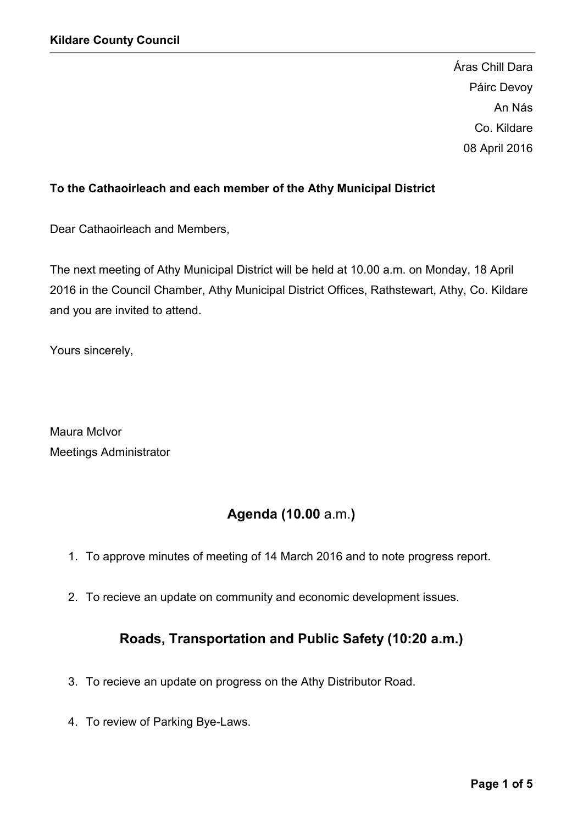Áras Chill Dara Páirc Devoy An Nás Co. Kildare 08 April 2016

## To the Cathaoirleach and each member of the Athy Municipal District

Dear Cathaoirleach and Members,

The next meeting of Athy Municipal District will be held at 10.00 a.m. on Monday, 18 April 2016 in the Council Chamber, Athy Municipal District Offices, Rathstewart, Athy, Co. Kildare and you are invited to attend.

Yours sincerely,

Maura McIvor Meetings Administrator

# Agenda (10.00 a.m.)

- 1. To approve minutes of meeting of 14 March 2016 and to note progress report.
- 2. To recieve an update on community and economic development issues.

# Roads, Transportation and Public Safety (10:20 a.m.)

- 3. To recieve an update on progress on the Athy Distributor Road.
- 4. To review of Parking Bye-Laws.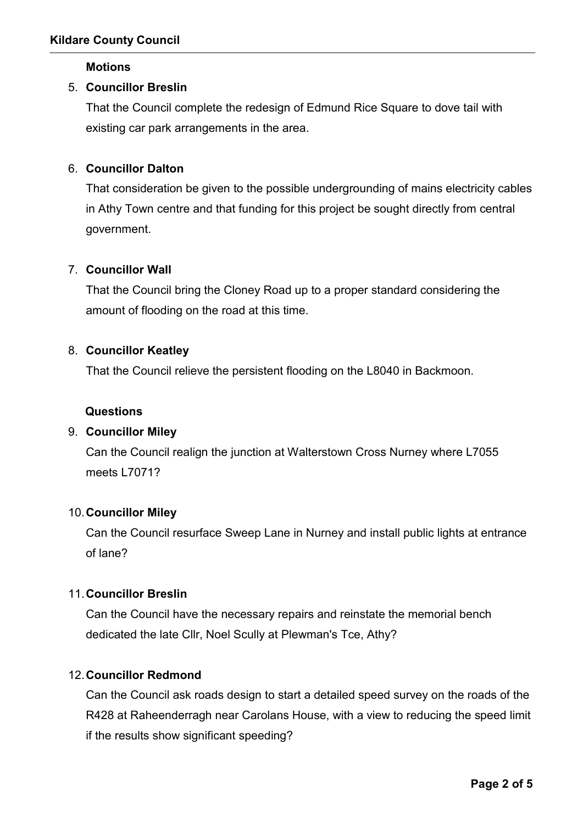#### **Motions**

## 5. Councillor Breslin

That the Council complete the redesign of Edmund Rice Square to dove tail with existing car park arrangements in the area.

## 6. Councillor Dalton

That consideration be given to the possible undergrounding of mains electricity cables in Athy Town centre and that funding for this project be sought directly from central government.

## 7. Councillor Wall

That the Council bring the Cloney Road up to a proper standard considering the amount of flooding on the road at this time.

#### 8. Councillor Keatley

That the Council relieve the persistent flooding on the L8040 in Backmoon.

#### Questions

## 9. Councillor Miley

Can the Council realign the junction at Walterstown Cross Nurney where L7055 meets L7071?

#### 10.Councillor Miley

Can the Council resurface Sweep Lane in Nurney and install public lights at entrance of lane?

## 11.Councillor Breslin

Can the Council have the necessary repairs and reinstate the memorial bench dedicated the late Cllr, Noel Scully at Plewman's Tce, Athy?

## 12.Councillor Redmond

Can the Council ask roads design to start a detailed speed survey on the roads of the R428 at Raheenderragh near Carolans House, with a view to reducing the speed limit if the results show significant speeding?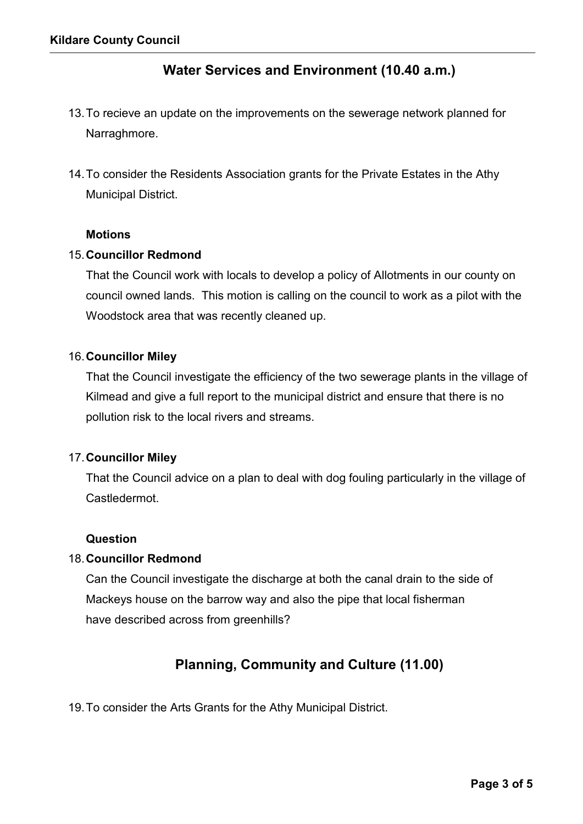# Water Services and Environment (10.40 a.m.)

- 13.To recieve an update on the improvements on the sewerage network planned for Narraghmore.
- 14.To consider the Residents Association grants for the Private Estates in the Athy Municipal District.

#### **Motions**

#### 15.Councillor Redmond

That the Council work with locals to develop a policy of Allotments in our county on council owned lands. This motion is calling on the council to work as a pilot with the Woodstock area that was recently cleaned up.

#### 16.Councillor Miley

That the Council investigate the efficiency of the two sewerage plants in the village of Kilmead and give a full report to the municipal district and ensure that there is no pollution risk to the local rivers and streams.

#### 17.Councillor Miley

That the Council advice on a plan to deal with dog fouling particularly in the village of Castledermot.

#### Question

## 18.Councillor Redmond

Can the Council investigate the discharge at both the canal drain to the side of Mackeys house on the barrow way and also the pipe that local fisherman have described across from greenhills?

# Planning, Community and Culture (11.00)

19.To consider the Arts Grants for the Athy Municipal District.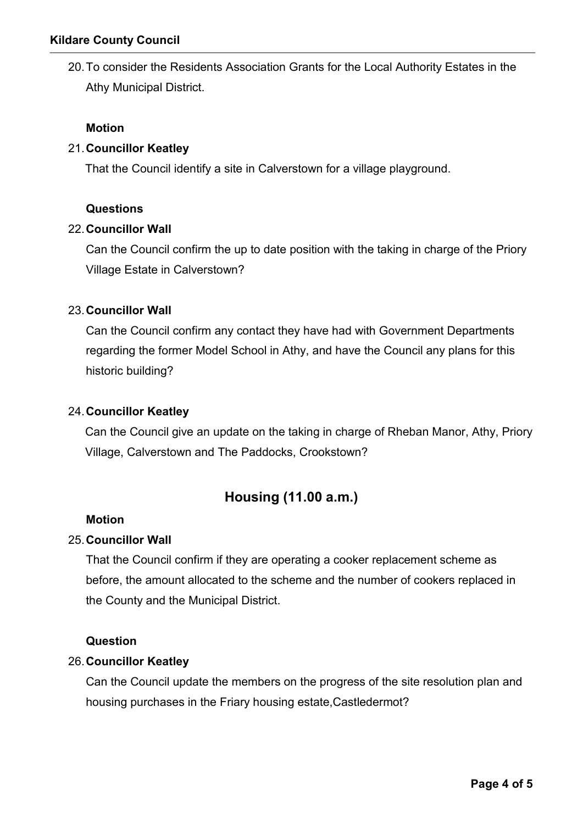20.To consider the Residents Association Grants for the Local Authority Estates in the Athy Municipal District.

## Motion

## 21.Councillor Keatley

That the Council identify a site in Calverstown for a village playground.

## Questions

## 22.Councillor Wall

Can the Council confirm the up to date position with the taking in charge of the Priory Village Estate in Calverstown?

## 23.Councillor Wall

Can the Council confirm any contact they have had with Government Departments regarding the former Model School in Athy, and have the Council any plans for this historic building?

## 24.Councillor Keatley

Can the Council give an update on the taking in charge of Rheban Manor, Athy, Priory Village, Calverstown and The Paddocks, Crookstown?

# Housing (11.00 a.m.)

## Motion

## 25.Councillor Wall

That the Council confirm if they are operating a cooker replacement scheme as before, the amount allocated to the scheme and the number of cookers replaced in the County and the Municipal District.

## Question

## 26.Councillor Keatley

Can the Council update the members on the progress of the site resolution plan and housing purchases in the Friary housing estate,Castledermot?